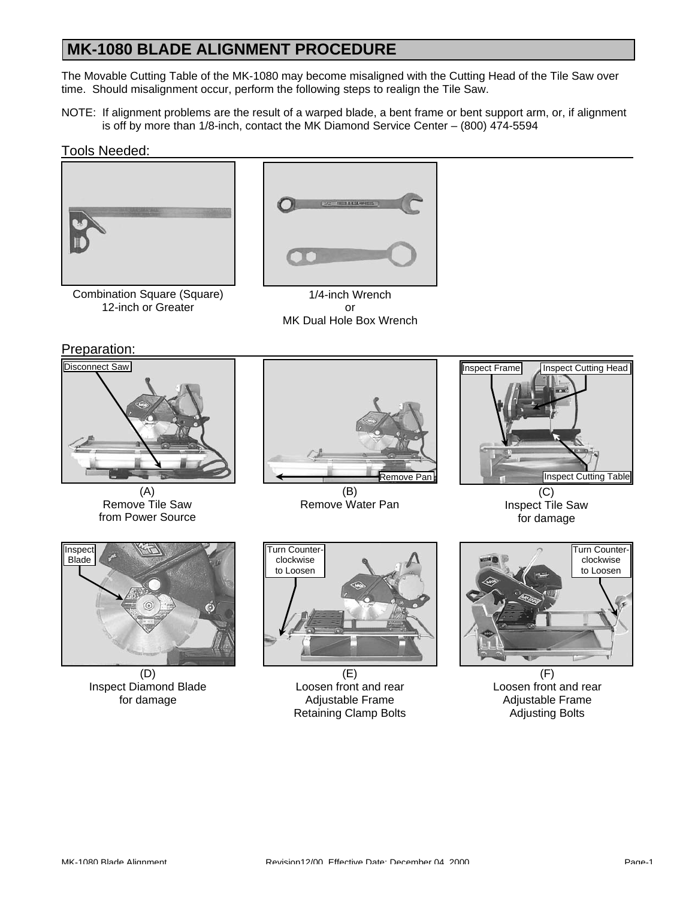## **MK-1080 BLADE ALIGNMENT PROCEDURE**

The Movable Cutting Table of the MK-1080 may become misaligned with the Cutting Head of the Tile Saw over time. Should misalignment occur, perform the following steps to realign the Tile Saw.

NOTE: If alignment problems are the result of a warped blade, a bent frame or bent support arm, or, if alignment is off by more than 1/8-inch, contact the MK Diamond Service Center – (800) 474-5594

#### Tools Needed:



Combination Square (Square) 12-inch or Greater



1/4-inch Wrench or MK Dual Hole Box Wrench

Preparation:



(A) Remove Tile Saw from Power Source



(B) Remove Water Pan



Inspect Tile Saw for damage



(D) Inspect Diamond Blade for damage



(E) Loosen front and rear Adjustable Frame Retaining Clamp Bolts



(F) Loosen front and rear Adjustable Frame Adjusting Bolts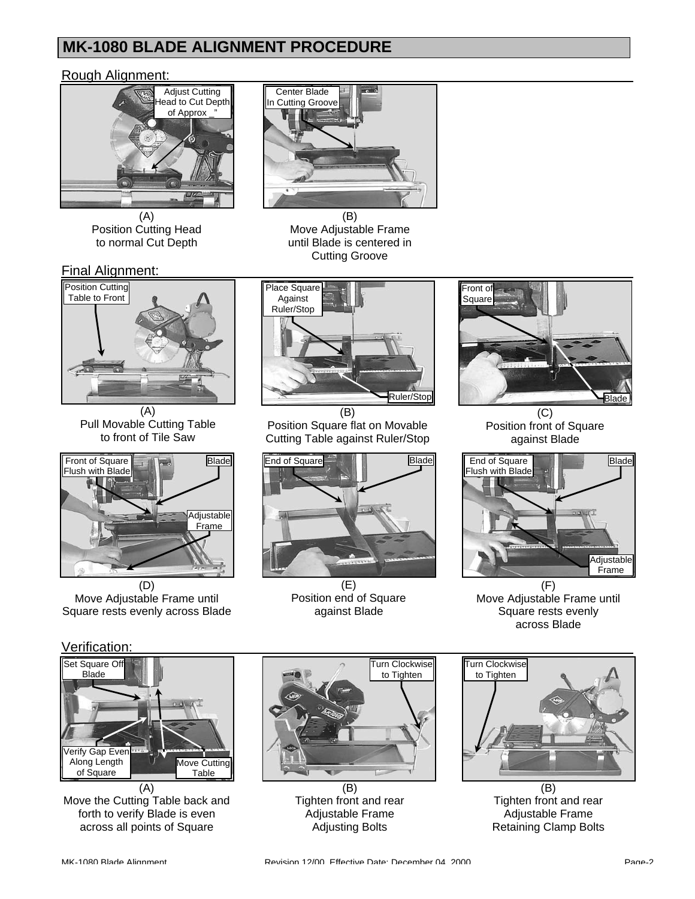## **MK-1080 BLADE ALIGNMENT PROCEDURE**

#### Rough Alignment:



(A) Position Cutting Head to normal Cut Depth



(B) Move Adjustable Frame until Blade is centered in Cutting Groove



(A) Pull Movable Cutting Table to front of Tile Saw



(D) Move Adjustable Frame until Square rests evenly across Blade



 $\overline{(\mathsf{B})}$ Position Square flat on Movable Cutting Table against Ruler/Stop



(E) Position end of Square against Blade



(C) Position front of Square against Blade



 $(F)$ Move Adjustable Frame until Square rests evenly across Blade

### Verification:



Move the Cutting Table back and forth to verify Blade is even across all points of Square



 $(B)$ Tighten front and rear Adjustable Frame Adjusting Bolts



(B) Tighten front and rear Adjustable Frame Retaining Clamp Bolts